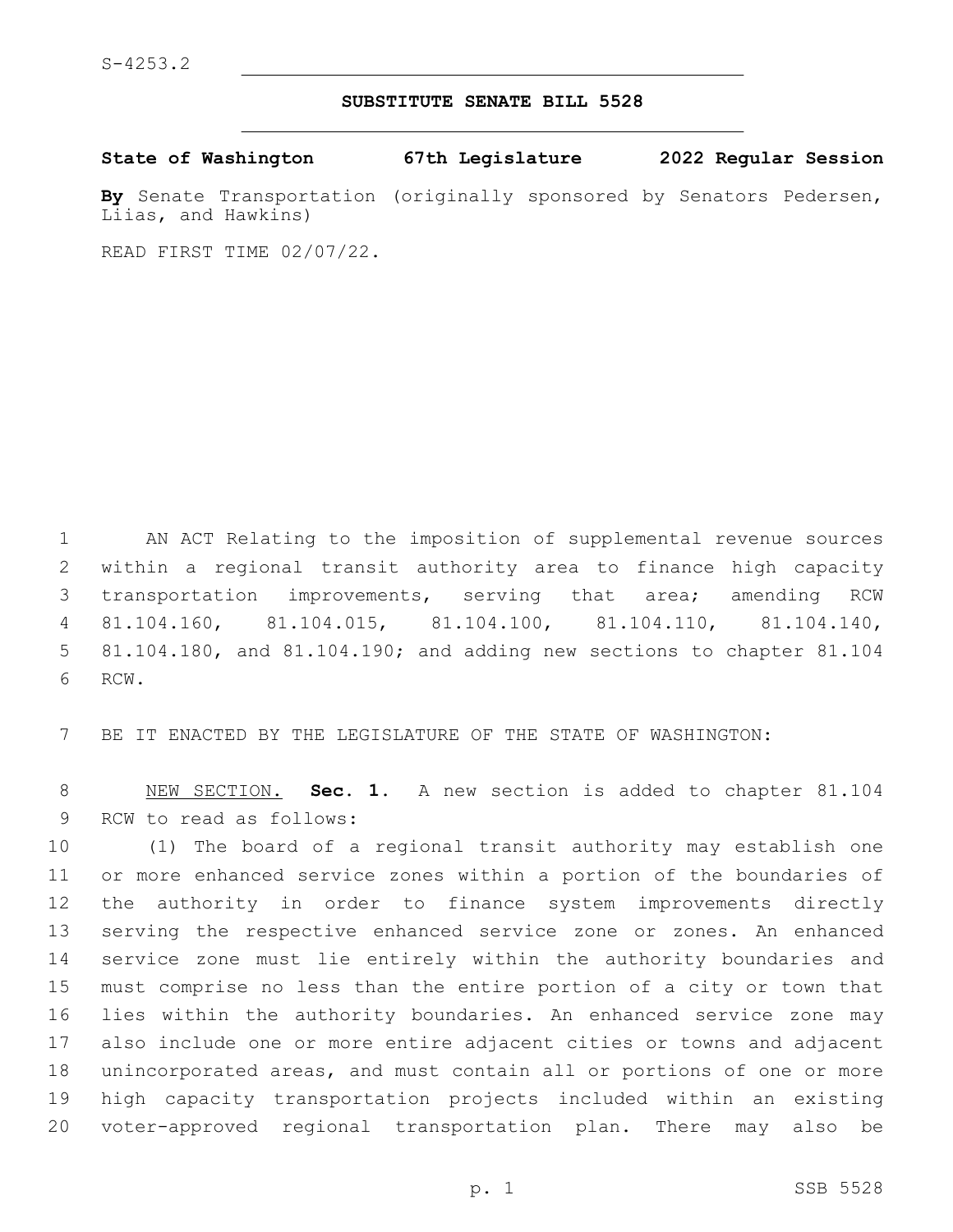## **SUBSTITUTE SENATE BILL 5528**

**State of Washington 67th Legislature 2022 Regular Session**

**By** Senate Transportation (originally sponsored by Senators Pedersen, Liias, and Hawkins)

READ FIRST TIME 02/07/22.

 AN ACT Relating to the imposition of supplemental revenue sources within a regional transit authority area to finance high capacity transportation improvements, serving that area; amending RCW 81.104.160, 81.104.015, 81.104.100, 81.104.110, 81.104.140, 81.104.180, and 81.104.190; and adding new sections to chapter 81.104 6 RCW.

BE IT ENACTED BY THE LEGISLATURE OF THE STATE OF WASHINGTON:

 NEW SECTION. **Sec. 1.** A new section is added to chapter 81.104 9 RCW to read as follows:

 (1) The board of a regional transit authority may establish one or more enhanced service zones within a portion of the boundaries of the authority in order to finance system improvements directly serving the respective enhanced service zone or zones. An enhanced service zone must lie entirely within the authority boundaries and must comprise no less than the entire portion of a city or town that lies within the authority boundaries. An enhanced service zone may also include one or more entire adjacent cities or towns and adjacent unincorporated areas, and must contain all or portions of one or more high capacity transportation projects included within an existing voter-approved regional transportation plan. There may also be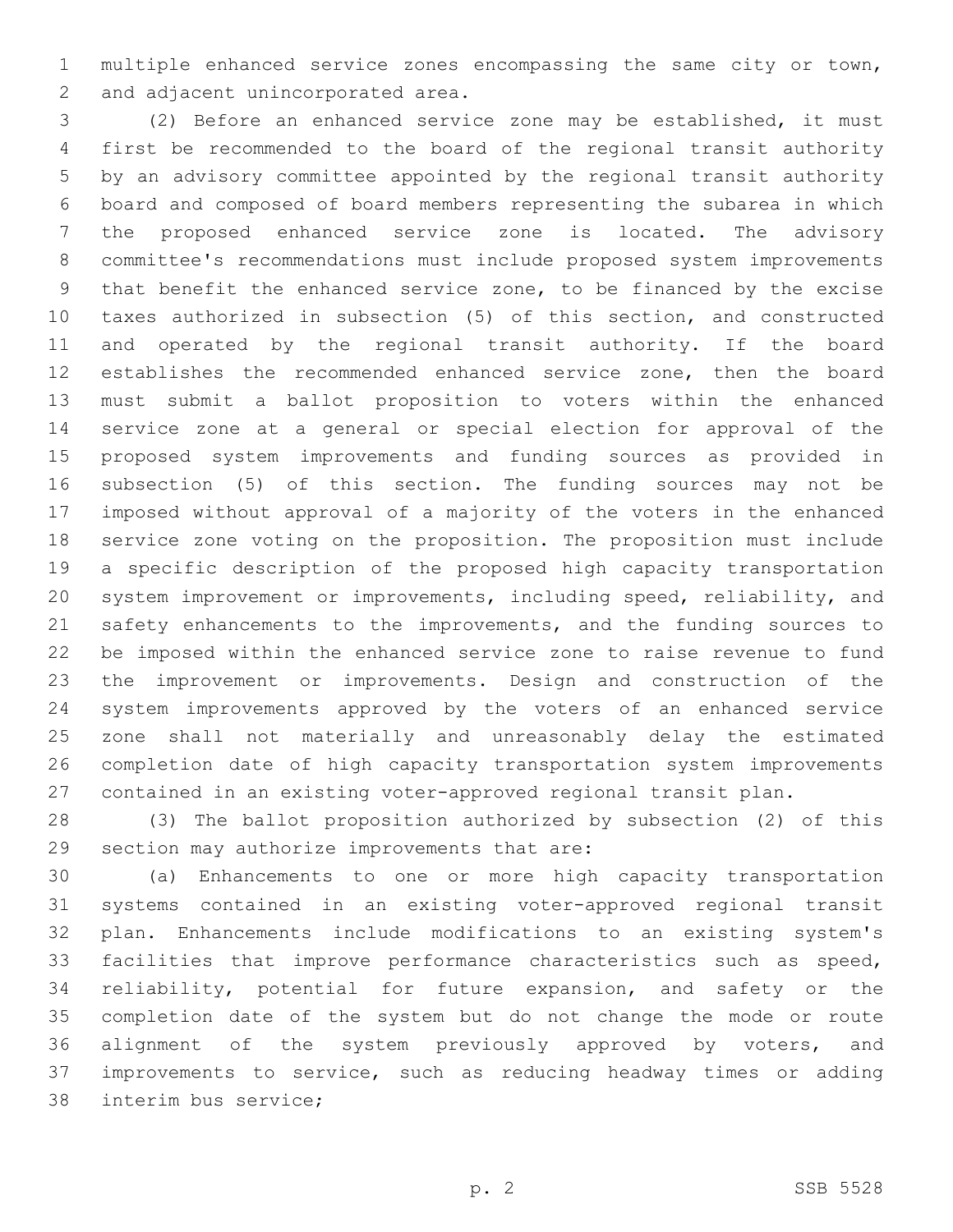multiple enhanced service zones encompassing the same city or town, 2 and adjacent unincorporated area.

 (2) Before an enhanced service zone may be established, it must first be recommended to the board of the regional transit authority by an advisory committee appointed by the regional transit authority board and composed of board members representing the subarea in which the proposed enhanced service zone is located. The advisory committee's recommendations must include proposed system improvements that benefit the enhanced service zone, to be financed by the excise taxes authorized in subsection (5) of this section, and constructed and operated by the regional transit authority. If the board establishes the recommended enhanced service zone, then the board must submit a ballot proposition to voters within the enhanced service zone at a general or special election for approval of the proposed system improvements and funding sources as provided in subsection (5) of this section. The funding sources may not be imposed without approval of a majority of the voters in the enhanced service zone voting on the proposition. The proposition must include a specific description of the proposed high capacity transportation system improvement or improvements, including speed, reliability, and 21 safety enhancements to the improvements, and the funding sources to be imposed within the enhanced service zone to raise revenue to fund the improvement or improvements. Design and construction of the system improvements approved by the voters of an enhanced service zone shall not materially and unreasonably delay the estimated completion date of high capacity transportation system improvements contained in an existing voter-approved regional transit plan.

 (3) The ballot proposition authorized by subsection (2) of this 29 section may authorize improvements that are:

 (a) Enhancements to one or more high capacity transportation systems contained in an existing voter-approved regional transit plan. Enhancements include modifications to an existing system's facilities that improve performance characteristics such as speed, reliability, potential for future expansion, and safety or the completion date of the system but do not change the mode or route 36 alignment of the system previously approved by voters, and improvements to service, such as reducing headway times or adding 38 interim bus service;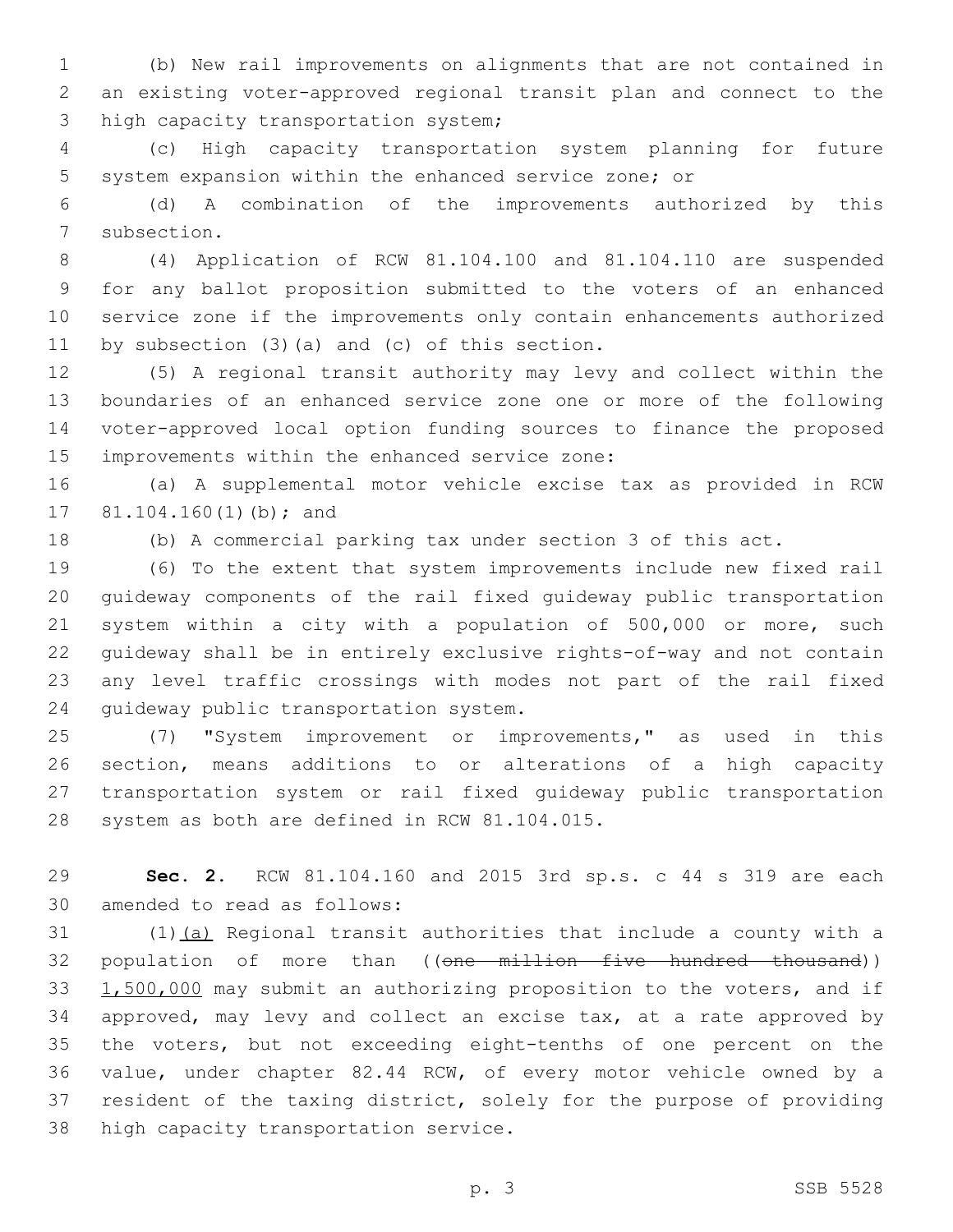(b) New rail improvements on alignments that are not contained in an existing voter-approved regional transit plan and connect to the 3 high capacity transportation system;

 (c) High capacity transportation system planning for future system expansion within the enhanced service zone; or

 (d) A combination of the improvements authorized by this 7 subsection.

 (4) Application of RCW 81.104.100 and 81.104.110 are suspended for any ballot proposition submitted to the voters of an enhanced service zone if the improvements only contain enhancements authorized 11 by subsection  $(3)$   $(a)$  and  $(c)$  of this section.

 (5) A regional transit authority may levy and collect within the boundaries of an enhanced service zone one or more of the following voter-approved local option funding sources to finance the proposed 15 improvements within the enhanced service zone:

 (a) A supplemental motor vehicle excise tax as provided in RCW 17 81.104.160(1)(b); and

(b) A commercial parking tax under section 3 of this act.

 (6) To the extent that system improvements include new fixed rail guideway components of the rail fixed guideway public transportation system within a city with a population of 500,000 or more, such guideway shall be in entirely exclusive rights-of-way and not contain any level traffic crossings with modes not part of the rail fixed 24 quideway public transportation system.

 (7) "System improvement or improvements," as used in this section, means additions to or alterations of a high capacity transportation system or rail fixed guideway public transportation 28 system as both are defined in RCW 81.104.015.

 **Sec. 2.** RCW 81.104.160 and 2015 3rd sp.s. c 44 s 319 are each 30 amended to read as follows:

 (1)(a) Regional transit authorities that include a county with a 32 population of more than ((one million five hundred thousand)) 33 1,500,000 may submit an authorizing proposition to the voters, and if approved, may levy and collect an excise tax, at a rate approved by the voters, but not exceeding eight-tenths of one percent on the value, under chapter 82.44 RCW, of every motor vehicle owned by a resident of the taxing district, solely for the purpose of providing 38 high capacity transportation service.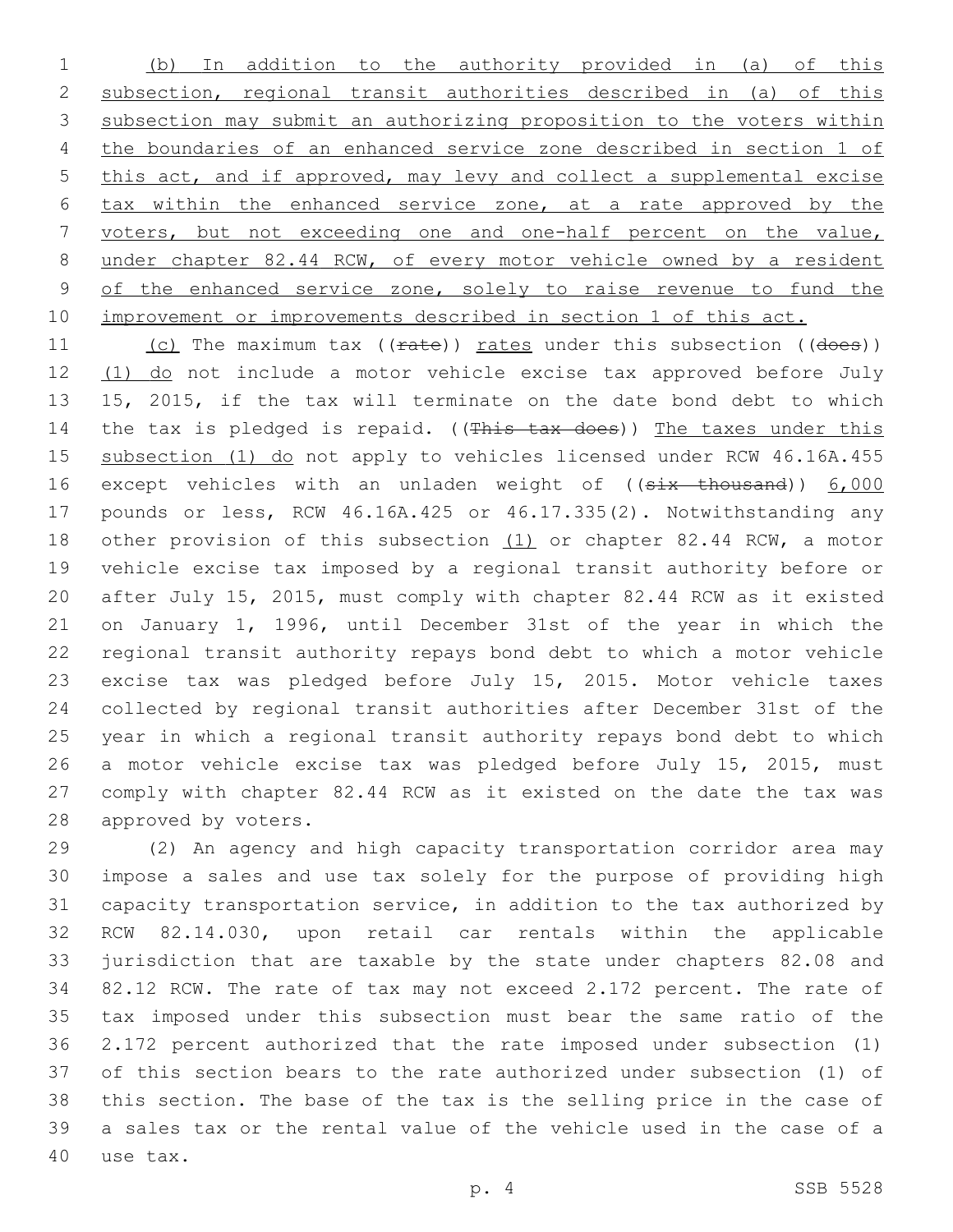(b) In addition to the authority provided in (a) of this subsection, regional transit authorities described in (a) of this subsection may submit an authorizing proposition to the voters within the boundaries of an enhanced service zone described in section 1 of this act, and if approved, may levy and collect a supplemental excise tax within the enhanced service zone, at a rate approved by the voters, but not exceeding one and one-half percent on the value, under chapter 82.44 RCW, of every motor vehicle owned by a resident 9 of the enhanced service zone, solely to raise revenue to fund the improvement or improvements described in section 1 of this act.

11 (c) The maximum tax ((rate)) rates under this subsection ((does)) 12 (1) do not include a motor vehicle excise tax approved before July 15, 2015, if the tax will terminate on the date bond debt to which 14 the tax is pledged is repaid. ((This tax does)) The taxes under this 15 subsection (1) do not apply to vehicles licensed under RCW 46.16A.455 16 except vehicles with an unladen weight of ((six thousand)) 6,000 pounds or less, RCW 46.16A.425 or 46.17.335(2). Notwithstanding any other provision of this subsection (1) or chapter 82.44 RCW, a motor vehicle excise tax imposed by a regional transit authority before or after July 15, 2015, must comply with chapter 82.44 RCW as it existed on January 1, 1996, until December 31st of the year in which the regional transit authority repays bond debt to which a motor vehicle excise tax was pledged before July 15, 2015. Motor vehicle taxes collected by regional transit authorities after December 31st of the year in which a regional transit authority repays bond debt to which a motor vehicle excise tax was pledged before July 15, 2015, must comply with chapter 82.44 RCW as it existed on the date the tax was 28 approved by voters.

 (2) An agency and high capacity transportation corridor area may impose a sales and use tax solely for the purpose of providing high capacity transportation service, in addition to the tax authorized by RCW 82.14.030, upon retail car rentals within the applicable jurisdiction that are taxable by the state under chapters 82.08 and 82.12 RCW. The rate of tax may not exceed 2.172 percent. The rate of tax imposed under this subsection must bear the same ratio of the 2.172 percent authorized that the rate imposed under subsection (1) of this section bears to the rate authorized under subsection (1) of this section. The base of the tax is the selling price in the case of a sales tax or the rental value of the vehicle used in the case of a 40 use tax.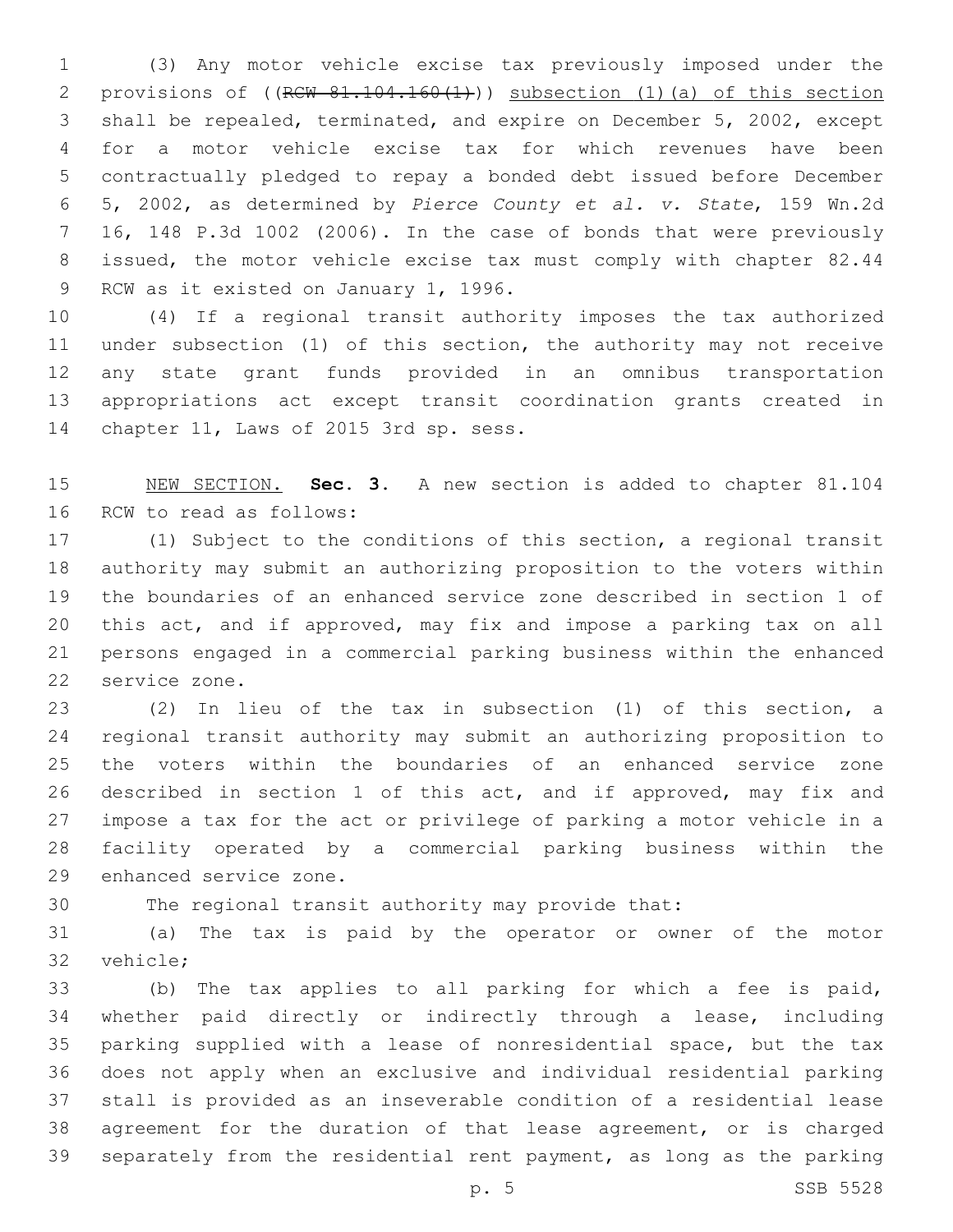(3) Any motor vehicle excise tax previously imposed under the 2 provisions of ((RCW 81.104.160(1))) subsection (1)(a) of this section shall be repealed, terminated, and expire on December 5, 2002, except for a motor vehicle excise tax for which revenues have been contractually pledged to repay a bonded debt issued before December 5, 2002, as determined by *Pierce County et al. v. State*, 159 Wn.2d 16, 148 P.3d 1002 (2006). In the case of bonds that were previously issued, the motor vehicle excise tax must comply with chapter 82.44 9 RCW as it existed on January 1, 1996.

 (4) If a regional transit authority imposes the tax authorized under subsection (1) of this section, the authority may not receive any state grant funds provided in an omnibus transportation appropriations act except transit coordination grants created in 14 chapter 11, Laws of 2015 3rd sp. sess.

 NEW SECTION. **Sec. 3.** A new section is added to chapter 81.104 16 RCW to read as follows:

 (1) Subject to the conditions of this section, a regional transit authority may submit an authorizing proposition to the voters within the boundaries of an enhanced service zone described in section 1 of this act, and if approved, may fix and impose a parking tax on all persons engaged in a commercial parking business within the enhanced 22 service zone.

 (2) In lieu of the tax in subsection (1) of this section, a regional transit authority may submit an authorizing proposition to the voters within the boundaries of an enhanced service zone described in section 1 of this act, and if approved, may fix and impose a tax for the act or privilege of parking a motor vehicle in a facility operated by a commercial parking business within the 29 enhanced service zone.

The regional transit authority may provide that:

 (a) The tax is paid by the operator or owner of the motor 32 vehicle:

 (b) The tax applies to all parking for which a fee is paid, whether paid directly or indirectly through a lease, including parking supplied with a lease of nonresidential space, but the tax does not apply when an exclusive and individual residential parking stall is provided as an inseverable condition of a residential lease agreement for the duration of that lease agreement, or is charged separately from the residential rent payment, as long as the parking

p. 5 SSB 5528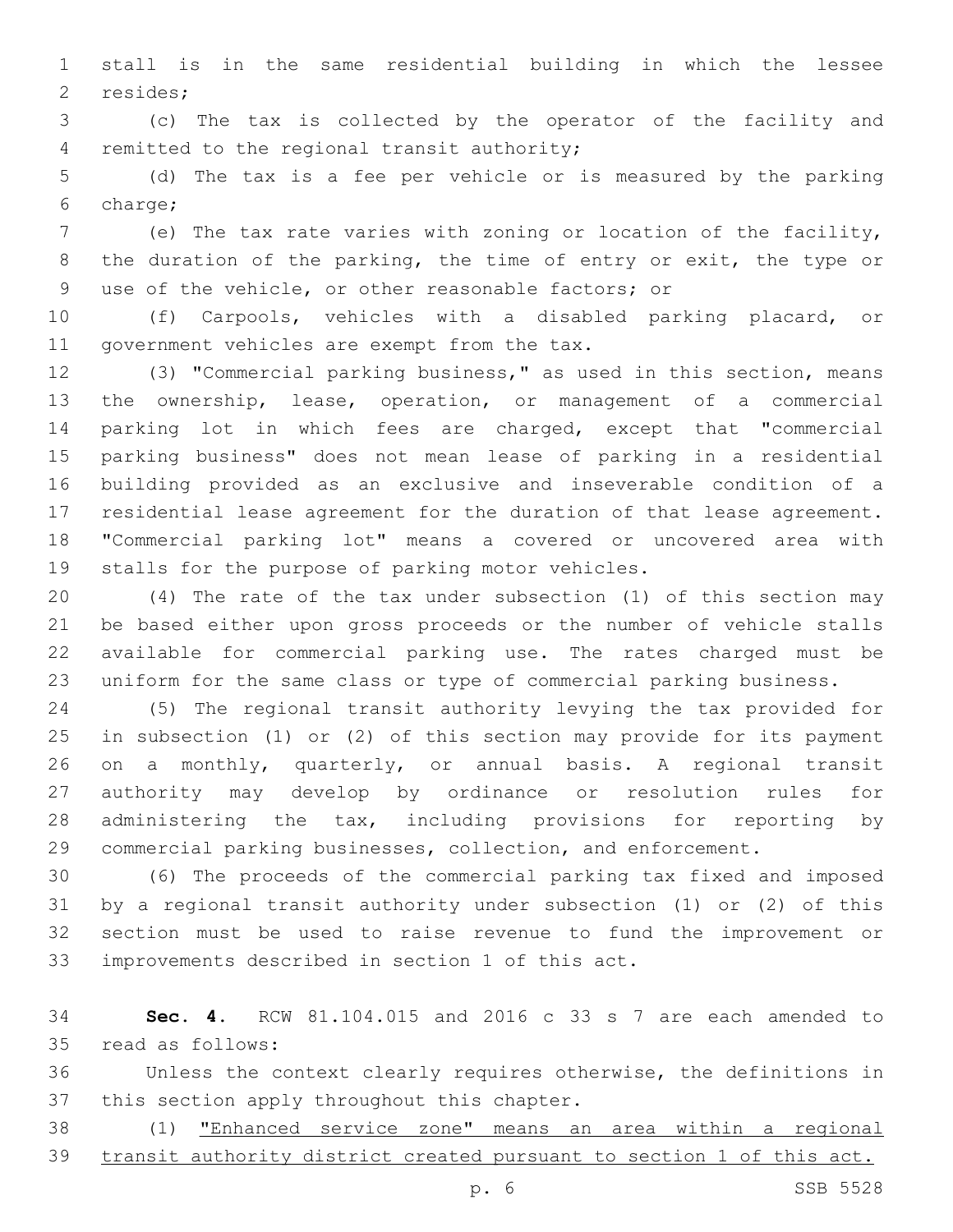stall is in the same residential building in which the lessee 2 resides;

 (c) The tax is collected by the operator of the facility and 4 remitted to the regional transit authority;

 (d) The tax is a fee per vehicle or is measured by the parking charge;6

 (e) The tax rate varies with zoning or location of the facility, the duration of the parking, the time of entry or exit, the type or use of the vehicle, or other reasonable factors; or

 (f) Carpools, vehicles with a disabled parking placard, or 11 government vehicles are exempt from the tax.

 (3) "Commercial parking business," as used in this section, means the ownership, lease, operation, or management of a commercial parking lot in which fees are charged, except that "commercial parking business" does not mean lease of parking in a residential building provided as an exclusive and inseverable condition of a residential lease agreement for the duration of that lease agreement. "Commercial parking lot" means a covered or uncovered area with 19 stalls for the purpose of parking motor vehicles.

 (4) The rate of the tax under subsection (1) of this section may be based either upon gross proceeds or the number of vehicle stalls available for commercial parking use. The rates charged must be uniform for the same class or type of commercial parking business.

 (5) The regional transit authority levying the tax provided for in subsection (1) or (2) of this section may provide for its payment on a monthly, quarterly, or annual basis. A regional transit authority may develop by ordinance or resolution rules for administering the tax, including provisions for reporting by commercial parking businesses, collection, and enforcement.

 (6) The proceeds of the commercial parking tax fixed and imposed by a regional transit authority under subsection (1) or (2) of this section must be used to raise revenue to fund the improvement or 33 improvements described in section 1 of this act.

 **Sec. 4.** RCW 81.104.015 and 2016 c 33 s 7 are each amended to 35 read as follows:

 Unless the context clearly requires otherwise, the definitions in 37 this section apply throughout this chapter.

 (1) "Enhanced service zone" means an area within a regional transit authority district created pursuant to section 1 of this act.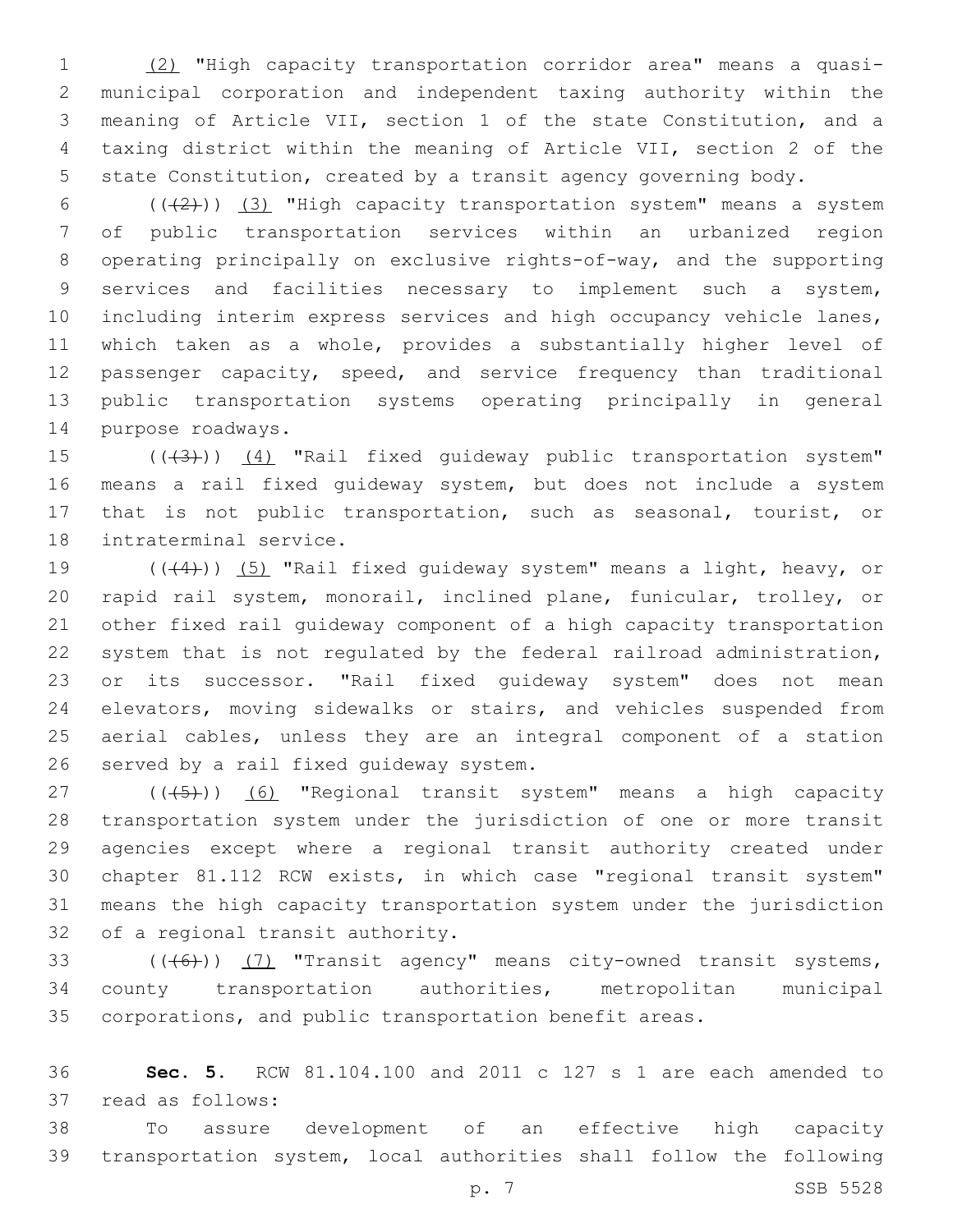(2) "High capacity transportation corridor area" means a quasi- municipal corporation and independent taxing authority within the meaning of Article VII, section 1 of the state Constitution, and a taxing district within the meaning of Article VII, section 2 of the state Constitution, created by a transit agency governing body.

 $((+2))$   $(3)$  "High capacity transportation system" means a system of public transportation services within an urbanized region operating principally on exclusive rights-of-way, and the supporting services and facilities necessary to implement such a system, including interim express services and high occupancy vehicle lanes, which taken as a whole, provides a substantially higher level of passenger capacity, speed, and service frequency than traditional public transportation systems operating principally in general 14 purpose roadways.

15 (((43))) (4) "Rail fixed guideway public transportation system" means a rail fixed guideway system, but does not include a system that is not public transportation, such as seasonal, tourist, or 18 intraterminal service.

19 (((4))) (5) "Rail fixed guideway system" means a light, heavy, or rapid rail system, monorail, inclined plane, funicular, trolley, or other fixed rail guideway component of a high capacity transportation system that is not regulated by the federal railroad administration, or its successor. "Rail fixed guideway system" does not mean elevators, moving sidewalks or stairs, and vehicles suspended from aerial cables, unless they are an integral component of a station 26 served by a rail fixed quideway system.

27 (((5)) (6) "Regional transit system" means a high capacity transportation system under the jurisdiction of one or more transit agencies except where a regional transit authority created under chapter 81.112 RCW exists, in which case "regional transit system" means the high capacity transportation system under the jurisdiction 32 of a regional transit authority.

33 (((6))) (7) "Transit agency" means city-owned transit systems, county transportation authorities, metropolitan municipal corporations, and public transportation benefit areas.

 **Sec. 5.** RCW 81.104.100 and 2011 c 127 s 1 are each amended to 37 read as follows:

 To assure development of an effective high capacity transportation system, local authorities shall follow the following

p. 7 SSB 5528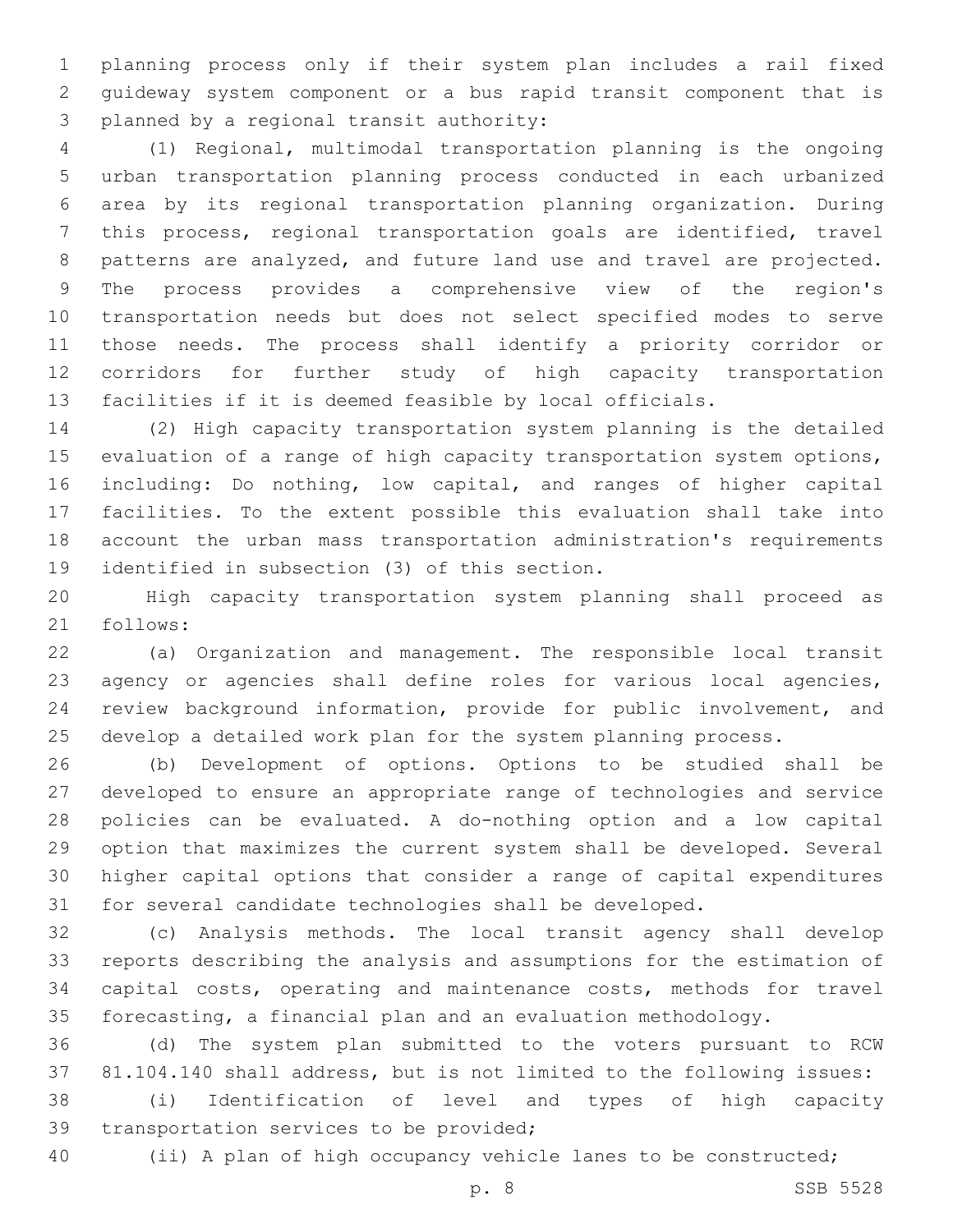planning process only if their system plan includes a rail fixed guideway system component or a bus rapid transit component that is 3 planned by a regional transit authority:

 (1) Regional, multimodal transportation planning is the ongoing urban transportation planning process conducted in each urbanized area by its regional transportation planning organization. During this process, regional transportation goals are identified, travel patterns are analyzed, and future land use and travel are projected. The process provides a comprehensive view of the region's transportation needs but does not select specified modes to serve those needs. The process shall identify a priority corridor or corridors for further study of high capacity transportation facilities if it is deemed feasible by local officials.

 (2) High capacity transportation system planning is the detailed evaluation of a range of high capacity transportation system options, including: Do nothing, low capital, and ranges of higher capital facilities. To the extent possible this evaluation shall take into account the urban mass transportation administration's requirements 19 identified in subsection (3) of this section.

 High capacity transportation system planning shall proceed as 21 follows:

 (a) Organization and management. The responsible local transit agency or agencies shall define roles for various local agencies, review background information, provide for public involvement, and develop a detailed work plan for the system planning process.

 (b) Development of options. Options to be studied shall be developed to ensure an appropriate range of technologies and service policies can be evaluated. A do-nothing option and a low capital option that maximizes the current system shall be developed. Several higher capital options that consider a range of capital expenditures for several candidate technologies shall be developed.

 (c) Analysis methods. The local transit agency shall develop reports describing the analysis and assumptions for the estimation of capital costs, operating and maintenance costs, methods for travel forecasting, a financial plan and an evaluation methodology.

 (d) The system plan submitted to the voters pursuant to RCW 81.104.140 shall address, but is not limited to the following issues:

 (i) Identification of level and types of high capacity 39 transportation services to be provided;

(ii) A plan of high occupancy vehicle lanes to be constructed;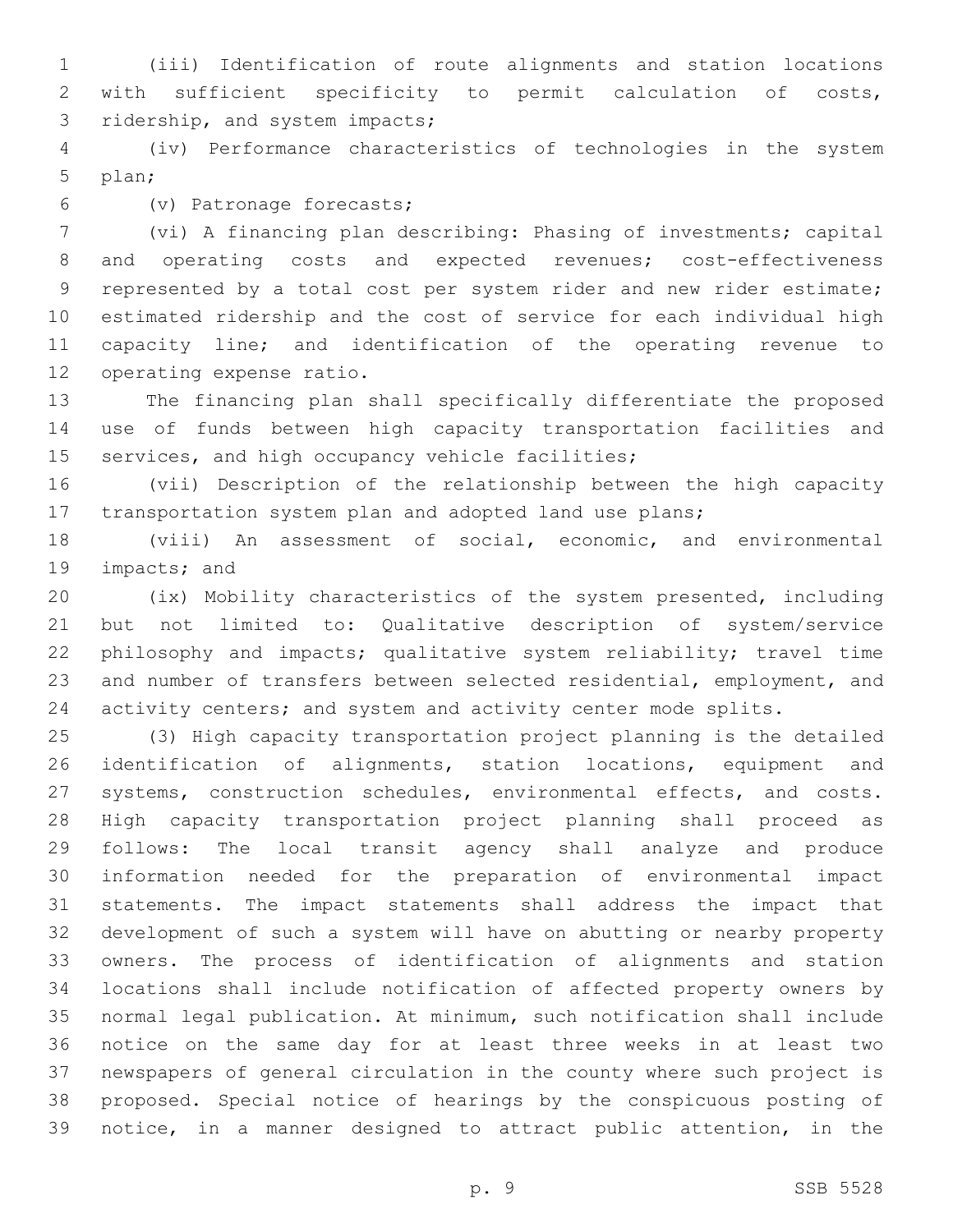(iii) Identification of route alignments and station locations with sufficient specificity to permit calculation of costs, 3 ridership, and system impacts;

 (iv) Performance characteristics of technologies in the system 5 plan;

(v) Patronage forecasts;6

 (vi) A financing plan describing: Phasing of investments; capital and operating costs and expected revenues; cost-effectiveness represented by a total cost per system rider and new rider estimate; estimated ridership and the cost of service for each individual high capacity line; and identification of the operating revenue to 12 operating expense ratio.

 The financing plan shall specifically differentiate the proposed use of funds between high capacity transportation facilities and 15 services, and high occupancy vehicle facilities;

 (vii) Description of the relationship between the high capacity transportation system plan and adopted land use plans;

 (viii) An assessment of social, economic, and environmental 19 impacts; and

 (ix) Mobility characteristics of the system presented, including but not limited to: Qualitative description of system/service philosophy and impacts; qualitative system reliability; travel time and number of transfers between selected residential, employment, and 24 activity centers; and system and activity center mode splits.

 (3) High capacity transportation project planning is the detailed identification of alignments, station locations, equipment and systems, construction schedules, environmental effects, and costs. High capacity transportation project planning shall proceed as follows: The local transit agency shall analyze and produce information needed for the preparation of environmental impact statements. The impact statements shall address the impact that development of such a system will have on abutting or nearby property owners. The process of identification of alignments and station locations shall include notification of affected property owners by normal legal publication. At minimum, such notification shall include notice on the same day for at least three weeks in at least two newspapers of general circulation in the county where such project is proposed. Special notice of hearings by the conspicuous posting of notice, in a manner designed to attract public attention, in the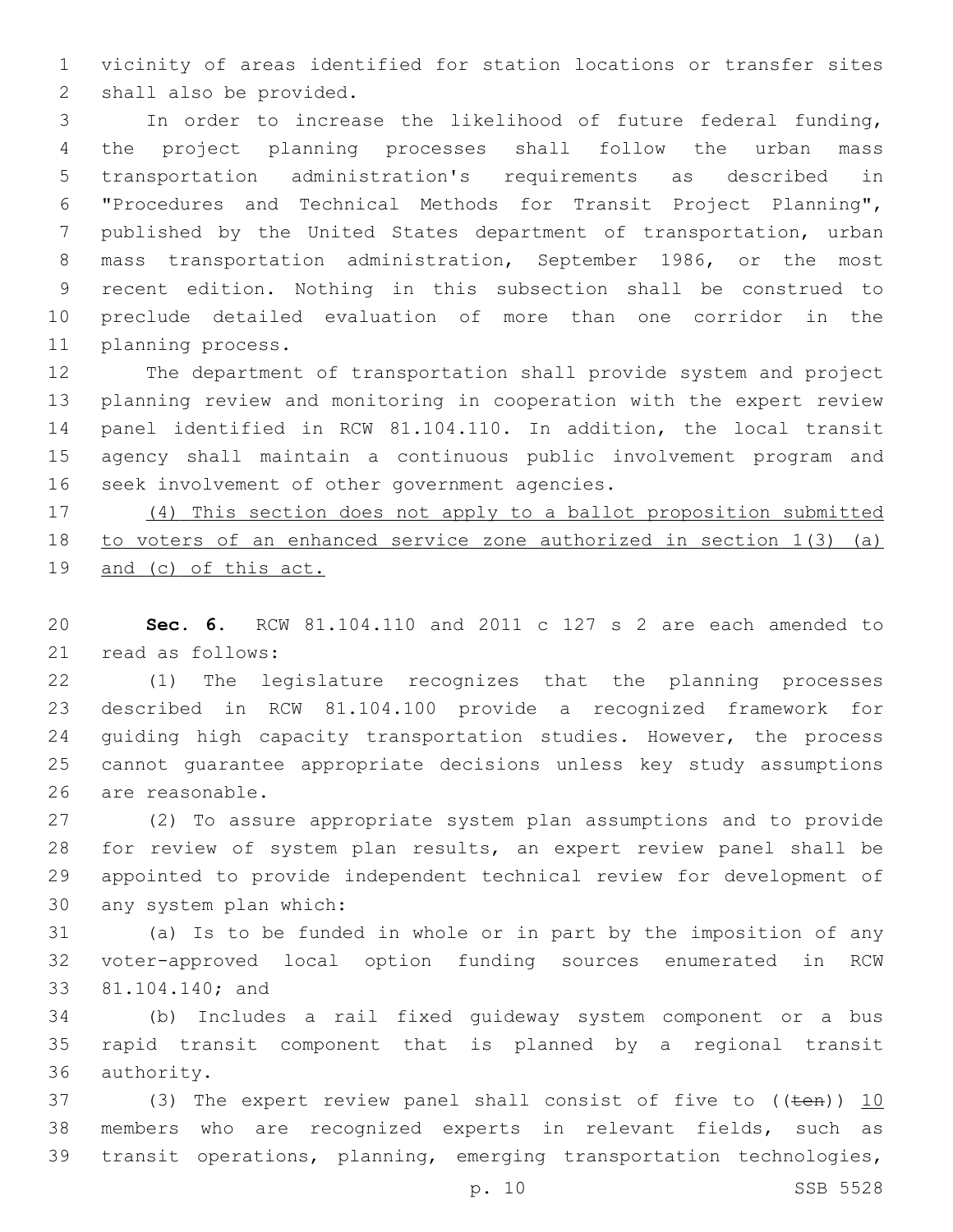vicinity of areas identified for station locations or transfer sites 2 shall also be provided.

 In order to increase the likelihood of future federal funding, the project planning processes shall follow the urban mass transportation administration's requirements as described in "Procedures and Technical Methods for Transit Project Planning", published by the United States department of transportation, urban mass transportation administration, September 1986, or the most recent edition. Nothing in this subsection shall be construed to preclude detailed evaluation of more than one corridor in the 11 planning process.

 The department of transportation shall provide system and project planning review and monitoring in cooperation with the expert review panel identified in RCW 81.104.110. In addition, the local transit agency shall maintain a continuous public involvement program and 16 seek involvement of other government agencies.

 (4) This section does not apply to a ballot proposition submitted to voters of an enhanced service zone authorized in section 1(3) (a) and (c) of this act.

 **Sec. 6.** RCW 81.104.110 and 2011 c 127 s 2 are each amended to 21 read as follows:

 (1) The legislature recognizes that the planning processes described in RCW 81.104.100 provide a recognized framework for 24 guiding high capacity transportation studies. However, the process cannot guarantee appropriate decisions unless key study assumptions 26 are reasonable.

 (2) To assure appropriate system plan assumptions and to provide for review of system plan results, an expert review panel shall be appointed to provide independent technical review for development of 30 any system plan which:

 (a) Is to be funded in whole or in part by the imposition of any voter-approved local option funding sources enumerated in RCW 33 81.104.140; and

 (b) Includes a rail fixed guideway system component or a bus rapid transit component that is planned by a regional transit 36 authority.

37 (3) The expert review panel shall consist of five to  $((\text{ten}))$  10 members who are recognized experts in relevant fields, such as transit operations, planning, emerging transportation technologies,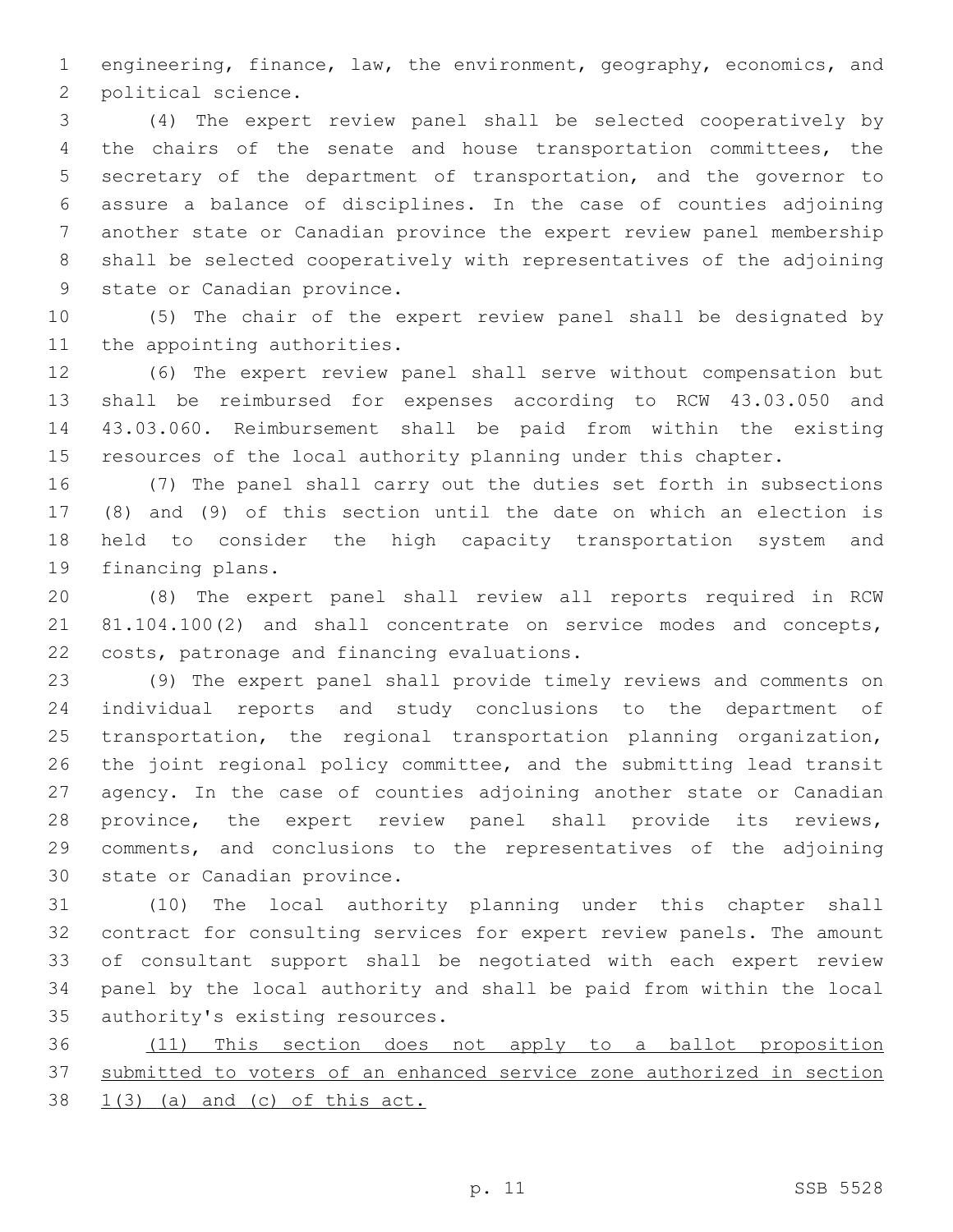engineering, finance, law, the environment, geography, economics, and 2 political science.

 (4) The expert review panel shall be selected cooperatively by the chairs of the senate and house transportation committees, the secretary of the department of transportation, and the governor to assure a balance of disciplines. In the case of counties adjoining another state or Canadian province the expert review panel membership shall be selected cooperatively with representatives of the adjoining 9 state or Canadian province.

 (5) The chair of the expert review panel shall be designated by 11 the appointing authorities.

 (6) The expert review panel shall serve without compensation but shall be reimbursed for expenses according to RCW 43.03.050 and 43.03.060. Reimbursement shall be paid from within the existing resources of the local authority planning under this chapter.

 (7) The panel shall carry out the duties set forth in subsections (8) and (9) of this section until the date on which an election is held to consider the high capacity transportation system and 19 financing plans.

 (8) The expert panel shall review all reports required in RCW 21 81.104.100(2) and shall concentrate on service modes and concepts, 22 costs, patronage and financing evaluations.

 (9) The expert panel shall provide timely reviews and comments on individual reports and study conclusions to the department of transportation, the regional transportation planning organization, the joint regional policy committee, and the submitting lead transit agency. In the case of counties adjoining another state or Canadian province, the expert review panel shall provide its reviews, comments, and conclusions to the representatives of the adjoining 30 state or Canadian province.

 (10) The local authority planning under this chapter shall contract for consulting services for expert review panels. The amount of consultant support shall be negotiated with each expert review panel by the local authority and shall be paid from within the local 35 authority's existing resources.

 (11) This section does not apply to a ballot proposition submitted to voters of an enhanced service zone authorized in section  $38 \quad 1(3)$  (a) and (c) of this act.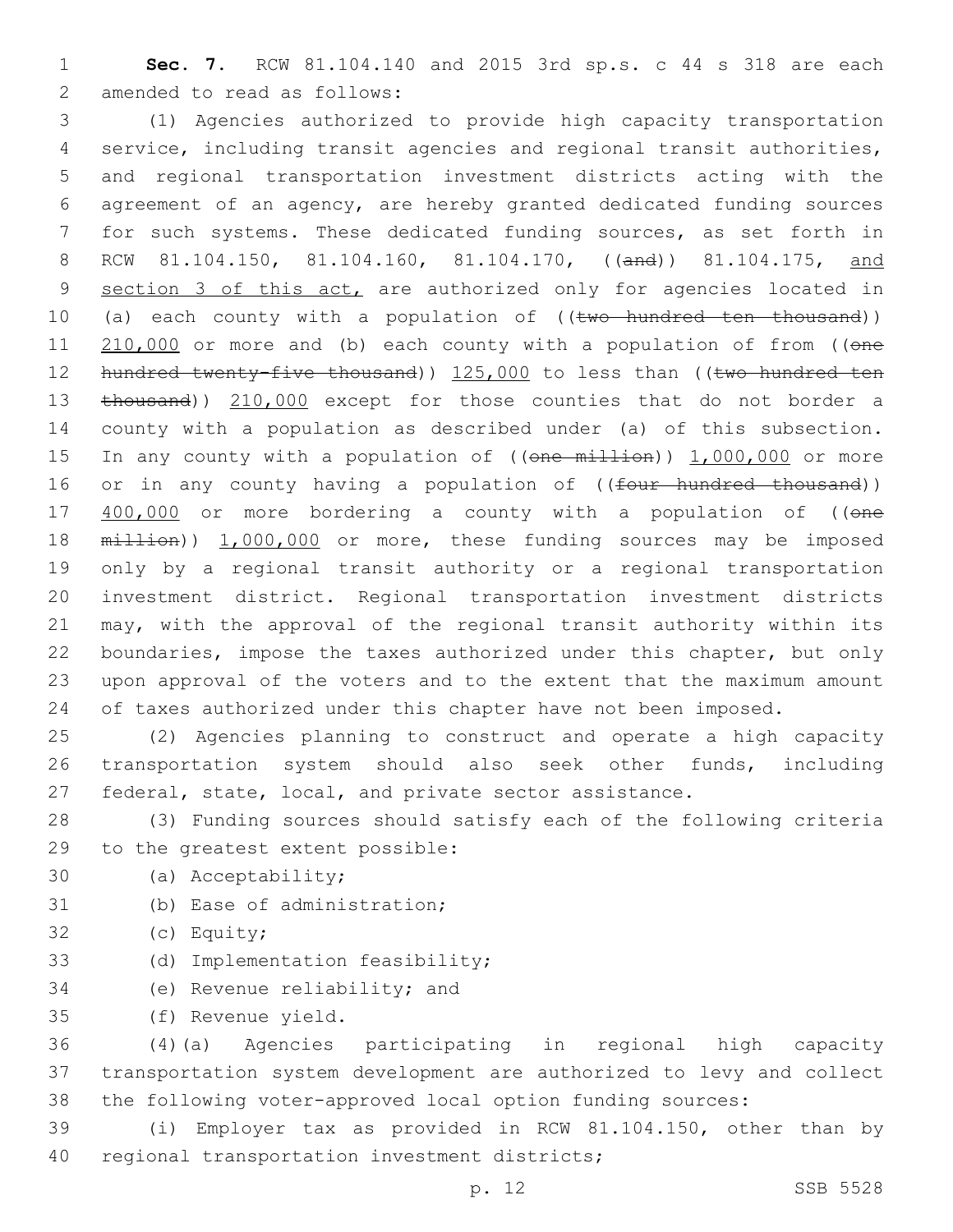1 **Sec. 7.** RCW 81.104.140 and 2015 3rd sp.s. c 44 s 318 are each 2 amended to read as follows:

3 (1) Agencies authorized to provide high capacity transportation 4 service, including transit agencies and regional transit authorities, 5 and regional transportation investment districts acting with the 6 agreement of an agency, are hereby granted dedicated funding sources 7 for such systems. These dedicated funding sources, as set forth in 8 RCW 81.104.150, 81.104.160, 81.104.170, ((and)) 81.104.175, and 9 section 3 of this act, are authorized only for agencies located in 10 (a) each county with a population of ((two hundred ten thousand)) 11 210,000 or more and (b) each county with a population of from ((one 12 hundred twenty-five thousand)) 125,000 to less than ((two hundred ten 13 thousand)) 210,000 except for those counties that do not border a 14 county with a population as described under (a) of this subsection. 15 In any county with a population of ((one million)) 1,000,000 or more 16 or in any county having a population of ((four hundred thousand)) 17 400,000 or more bordering a county with a population of ((one 18 million)) 1,000,000 or more, these funding sources may be imposed 19 only by a regional transit authority or a regional transportation 20 investment district. Regional transportation investment districts 21 may, with the approval of the regional transit authority within its 22 boundaries, impose the taxes authorized under this chapter, but only 23 upon approval of the voters and to the extent that the maximum amount 24 of taxes authorized under this chapter have not been imposed.

25 (2) Agencies planning to construct and operate a high capacity 26 transportation system should also seek other funds, including 27 federal, state, local, and private sector assistance.

28 (3) Funding sources should satisfy each of the following criteria 29 to the greatest extent possible:

- 30 (a) Acceptability;
- 31 (b) Ease of administration;
- 32 (c) Equity;
- 33 (d) Implementation feasibility;
- 34 (e) Revenue reliability; and
- (f) Revenue yield.35

36 (4)(a) Agencies participating in regional high capacity 37 transportation system development are authorized to levy and collect 38 the following voter-approved local option funding sources:

39 (i) Employer tax as provided in RCW 81.104.150, other than by 40 regional transportation investment districts;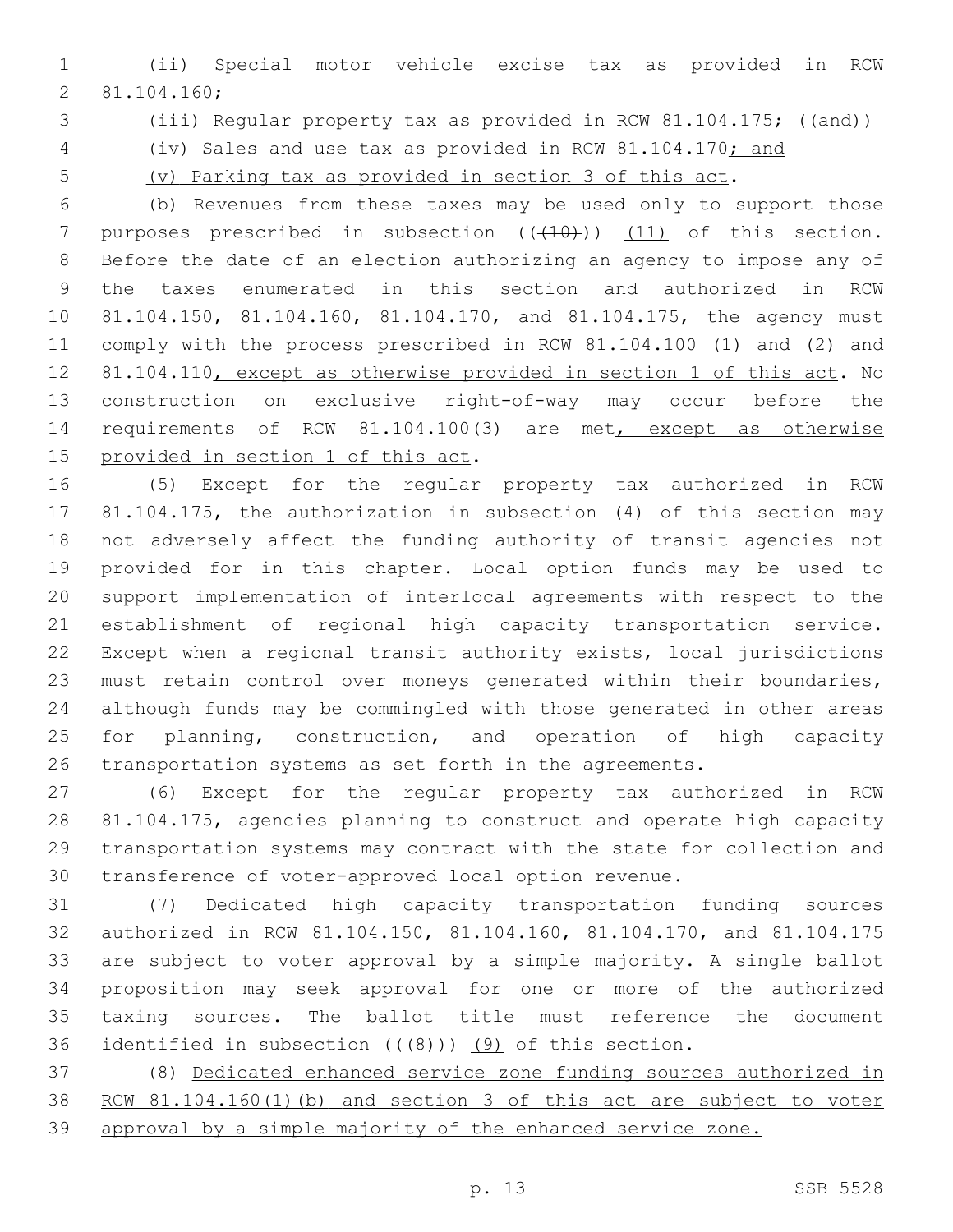(ii) Special motor vehicle excise tax as provided in RCW 81.104.160;2

(iii) Regular property tax as provided in RCW 81.104.175; ((and))

(iv) Sales and use tax as provided in RCW 81.104.170; and

(v) Parking tax as provided in section 3 of this act.

 (b) Revenues from these taxes may be used only to support those 7 purposes prescribed in subsection  $((+10))$   $(11)$  of this section. Before the date of an election authorizing an agency to impose any of the taxes enumerated in this section and authorized in RCW 81.104.150, 81.104.160, 81.104.170, and 81.104.175, the agency must comply with the process prescribed in RCW 81.104.100 (1) and (2) and 81.104.110, except as otherwise provided in section 1 of this act. No construction on exclusive right-of-way may occur before the requirements of RCW 81.104.100(3) are met, except as otherwise 15 provided in section 1 of this act.

 (5) Except for the regular property tax authorized in RCW 81.104.175, the authorization in subsection (4) of this section may not adversely affect the funding authority of transit agencies not provided for in this chapter. Local option funds may be used to support implementation of interlocal agreements with respect to the establishment of regional high capacity transportation service. Except when a regional transit authority exists, local jurisdictions must retain control over moneys generated within their boundaries, although funds may be commingled with those generated in other areas 25 for planning, construction, and operation of high capacity transportation systems as set forth in the agreements.

 (6) Except for the regular property tax authorized in RCW 81.104.175, agencies planning to construct and operate high capacity transportation systems may contract with the state for collection and transference of voter-approved local option revenue.

 (7) Dedicated high capacity transportation funding sources authorized in RCW 81.104.150, 81.104.160, 81.104.170, and 81.104.175 are subject to voter approval by a simple majority. A single ballot proposition may seek approval for one or more of the authorized taxing sources. The ballot title must reference the document 36 identified in subsection  $((+8))$  (9) of this section.

 (8) Dedicated enhanced service zone funding sources authorized in RCW 81.104.160(1)(b) and section 3 of this act are subject to voter approval by a simple majority of the enhanced service zone.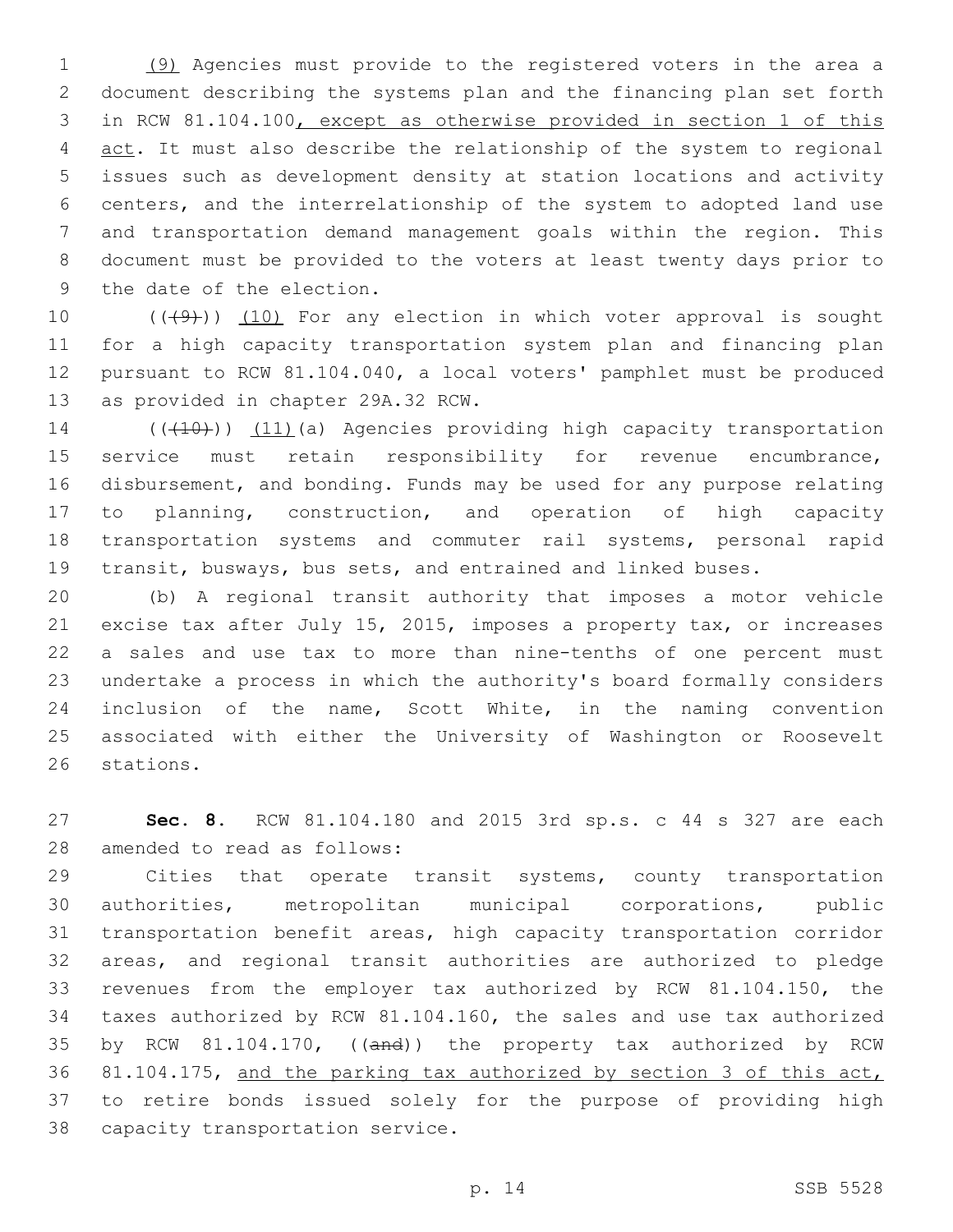(9) Agencies must provide to the registered voters in the area a document describing the systems plan and the financing plan set forth in RCW 81.104.100, except as otherwise provided in section 1 of this 4 act. It must also describe the relationship of the system to regional issues such as development density at station locations and activity centers, and the interrelationship of the system to adopted land use and transportation demand management goals within the region. This document must be provided to the voters at least twenty days prior to 9 the date of the election.

 $((+9+))$   $(10)$  For any election in which voter approval is sought for a high capacity transportation system plan and financing plan pursuant to RCW 81.104.040, a local voters' pamphlet must be produced 13 as provided in chapter 29A.32 RCW.

14 (( $(410)$ )) (11)(a) Agencies providing high capacity transportation 15 service must retain responsibility for revenue encumbrance, disbursement, and bonding. Funds may be used for any purpose relating to planning, construction, and operation of high capacity transportation systems and commuter rail systems, personal rapid transit, busways, bus sets, and entrained and linked buses.

 (b) A regional transit authority that imposes a motor vehicle excise tax after July 15, 2015, imposes a property tax, or increases a sales and use tax to more than nine-tenths of one percent must undertake a process in which the authority's board formally considers inclusion of the name, Scott White, in the naming convention associated with either the University of Washington or Roosevelt 26 stations.

 **Sec. 8.** RCW 81.104.180 and 2015 3rd sp.s. c 44 s 327 are each 28 amended to read as follows:

 Cities that operate transit systems, county transportation authorities, metropolitan municipal corporations, public transportation benefit areas, high capacity transportation corridor areas, and regional transit authorities are authorized to pledge revenues from the employer tax authorized by RCW 81.104.150, the taxes authorized by RCW 81.104.160, the sales and use tax authorized 35 by RCW 81.104.170, ((and)) the property tax authorized by RCW 81.104.175, and the parking tax authorized by section 3 of this act, to retire bonds issued solely for the purpose of providing high 38 capacity transportation service.